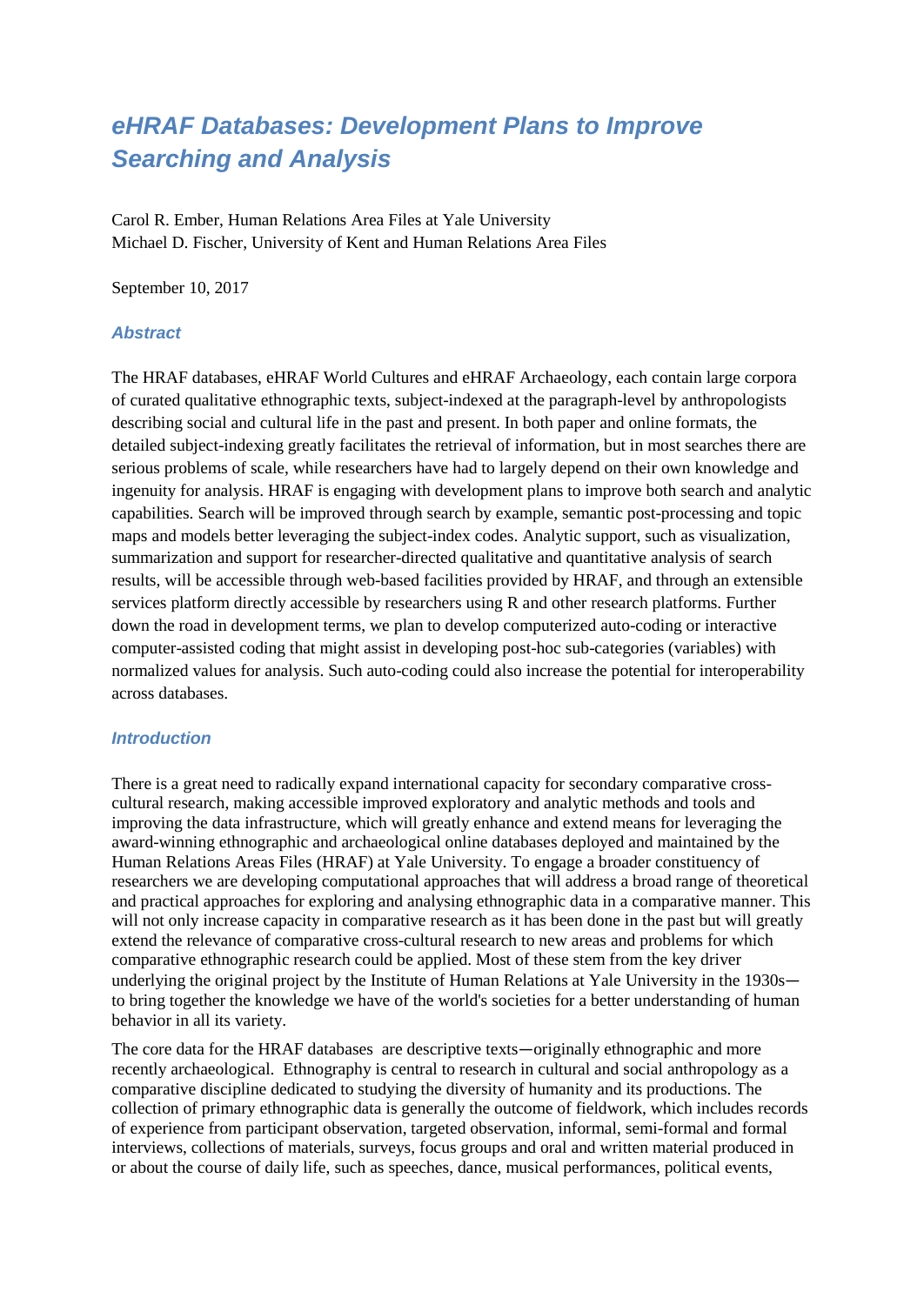# *eHRAF Databases: Development Plans to Improve Searching and Analysis*

Carol R. Ember, Human Relations Area Files at Yale University Michael D. Fischer, University of Kent and Human Relations Area Files

September 10, 2017

## *Abstract*

The HRAF databases, eHRAF World Cultures and eHRAF Archaeology, each contain large corpora of curated qualitative ethnographic texts, subject-indexed at the paragraph-level by anthropologists describing social and cultural life in the past and present. In both paper and online formats, the detailed subject-indexing greatly facilitates the retrieval of information, but in most searches there are serious problems of scale, while researchers have had to largely depend on their own knowledge and ingenuity for analysis. HRAF is engaging with development plans to improve both search and analytic capabilities. Search will be improved through search by example, semantic post-processing and topic maps and models better leveraging the subject-index codes. Analytic support, such as visualization, summarization and support for researcher-directed qualitative and quantitative analysis of search results, will be accessible through web-based facilities provided by HRAF, and through an extensible services platform directly accessible by researchers using R and other research platforms. Further down the road in development terms, we plan to develop computerized auto-coding or interactive computer-assisted coding that might assist in developing post-hoc sub-categories (variables) with normalized values for analysis. Such auto-coding could also increase the potential for interoperability across databases.

#### *Introduction*

There is a great need to radically expand international capacity for secondary comparative crosscultural research, making accessible improved exploratory and analytic methods and tools and improving the data infrastructure, which will greatly enhance and extend means for leveraging the award-winning ethnographic and archaeological online databases deployed and maintained by the Human Relations Areas Files (HRAF) at Yale University. To engage a broader constituency of researchers we are developing computational approaches that will address a broad range of theoretical and practical approaches for exploring and analysing ethnographic data in a comparative manner. This will not only increase capacity in comparative research as it has been done in the past but will greatly extend the relevance of comparative cross-cultural research to new areas and problems for which comparative ethnographic research could be applied. Most of these stem from the key driver underlying the original project by the Institute of Human Relations at Yale University in the 1930s to bring together the knowledge we have of the world's societies for a better understanding of human behavior in all its variety.

The core data for the HRAF databases are descriptive texts—originally ethnographic and more recently archaeological. Ethnography is central to research in cultural and social anthropology as a comparative discipline dedicated to studying the diversity of humanity and its productions. The collection of primary ethnographic data is generally the outcome of fieldwork, which includes records of experience from participant observation, targeted observation, informal, semi-formal and formal interviews, collections of materials, surveys, focus groups and oral and written material produced in or about the course of daily life, such as speeches, dance, musical performances, political events,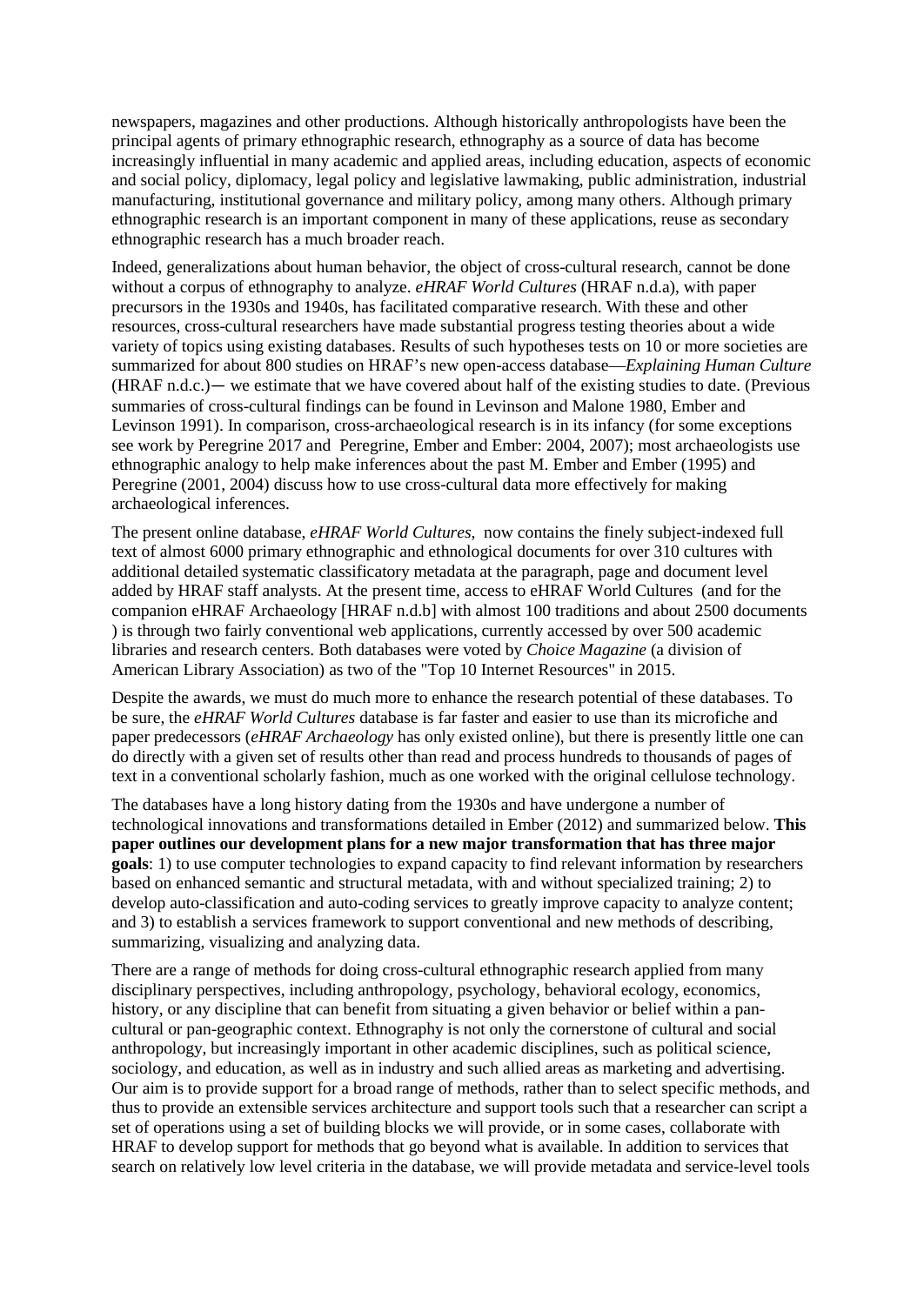newspapers, magazines and other productions. Although historically anthropologists have been the principal agents of primary ethnographic research, ethnography as a source of data has become increasingly influential in many academic and applied areas, including education, aspects of economic and social policy, diplomacy, legal policy and legislative lawmaking, public administration, industrial manufacturing, institutional governance and military policy, among many others. Although primary ethnographic research is an important component in many of these applications, reuse as secondary ethnographic research has a much broader reach.

Indeed, generalizations about human behavior, the object of cross-cultural research, cannot be done without a corpus of ethnography to analyze. *eHRAF World Cultures* (HRAF n.d.a), with paper precursors in the 1930s and 1940s, has facilitated comparative research. With these and other resources, cross-cultural researchers have made substantial progress testing theories about a wide variety of topics using existing databases. Results of such hypotheses tests on 10 or more societies are summarized for about 800 studies on HRAF's new open-access database—*Explaining Human Culture*  (HRAF n.d.c.)— we estimate that we have covered about half of the existing studies to date. (Previous summaries of cross-cultural findings can be found in Levinson and Malone 1980, Ember and Levinson 1991). In comparison, cross-archaeological research is in its infancy (for some exceptions see work by Peregrine 2017 and Peregrine, Ember and Ember: 2004, 2007); most archaeologists use ethnographic analogy to help make inferences about the past M. Ember and Ember (1995) and Peregrine (2001, 2004) discuss how to use cross-cultural data more effectively for making archaeological inferences.

The present online database, *eHRAF World Cultures*, now contains the finely subject-indexed full text of almost 6000 primary ethnographic and ethnological documents for over 310 cultures with additional detailed systematic classificatory metadata at the paragraph, page and document level added by HRAF staff analysts. At the present time, access to eHRAF World Cultures (and for the companion eHRAF Archaeology [HRAF n.d.b] with almost 100 traditions and about 2500 documents ) is through two fairly conventional web applications, currently accessed by over 500 academic libraries and research centers. Both databases were voted by *Choice Magazine* (a division of American Library Association) as two of the "Top 10 Internet Resources" in 2015.

Despite the awards, we must do much more to enhance the research potential of these databases. To be sure, the *eHRAF World Cultures* database is far faster and easier to use than its microfiche and paper predecessors (*eHRAF Archaeology* has only existed online), but there is presently little one can do directly with a given set of results other than read and process hundreds to thousands of pages of text in a conventional scholarly fashion, much as one worked with the original cellulose technology.

The databases have a long history dating from the 1930s and have undergone a number of technological innovations and transformations detailed in Ember (2012) and summarized below. **This paper outlines our development plans for a new major transformation that has three major goals**: 1) to use computer technologies to expand capacity to find relevant information by researchers based on enhanced semantic and structural metadata, with and without specialized training; 2) to develop auto-classification and auto-coding services to greatly improve capacity to analyze content; and 3) to establish a services framework to support conventional and new methods of describing, summarizing, visualizing and analyzing data.

There are a range of methods for doing cross-cultural ethnographic research applied from many disciplinary perspectives, including anthropology, psychology, behavioral ecology, economics, history, or any discipline that can benefit from situating a given behavior or belief within a pancultural or pan-geographic context. Ethnography is not only the cornerstone of cultural and social anthropology, but increasingly important in other academic disciplines, such as political science, sociology, and education, as well as in industry and such allied areas as marketing and advertising. Our aim is to provide support for a broad range of methods, rather than to select specific methods, and thus to provide an extensible services architecture and support tools such that a researcher can script a set of operations using a set of building blocks we will provide, or in some cases, collaborate with HRAF to develop support for methods that go beyond what is available. In addition to services that search on relatively low level criteria in the database, we will provide metadata and service-level tools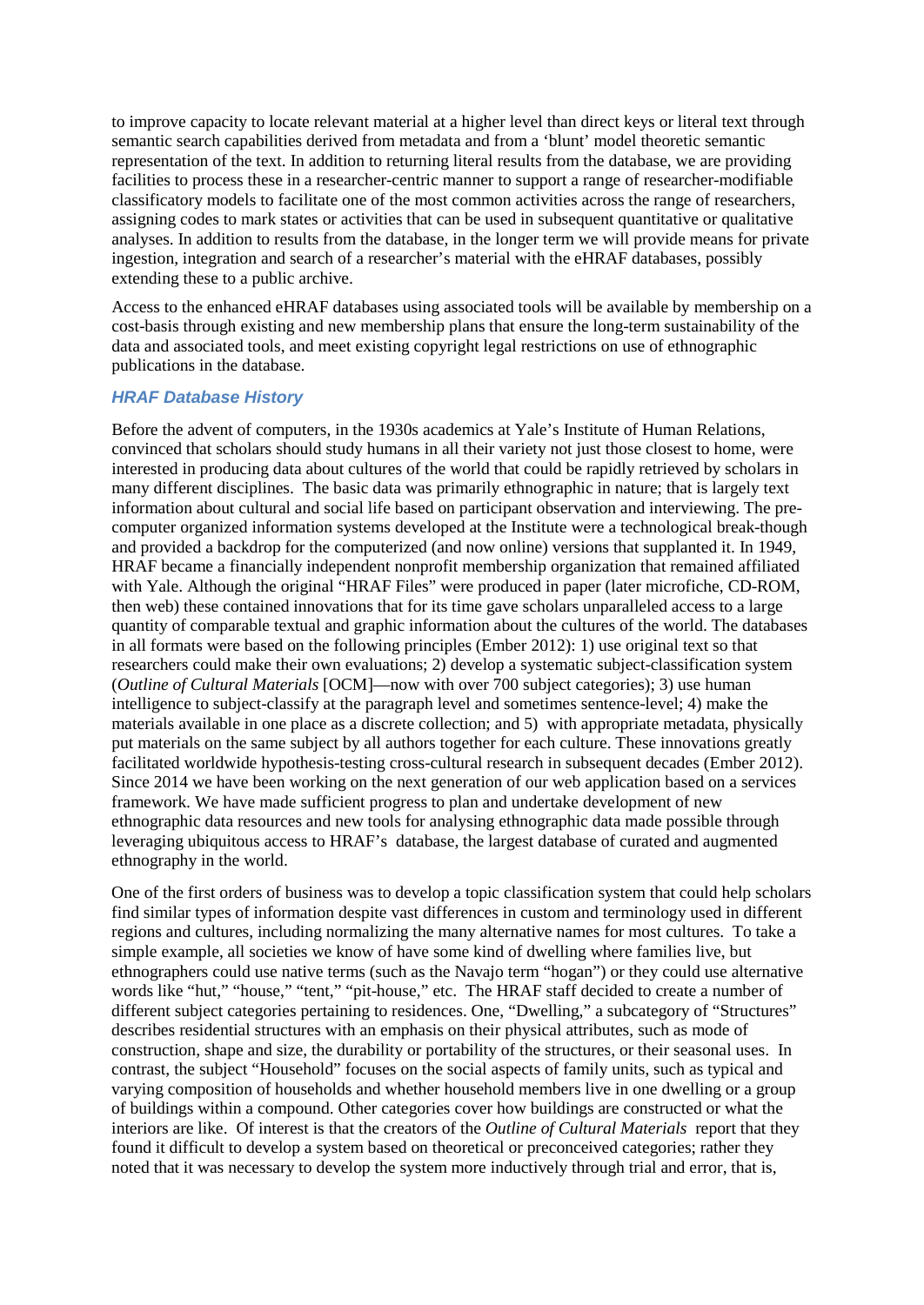to improve capacity to locate relevant material at a higher level than direct keys or literal text through semantic search capabilities derived from metadata and from a 'blunt' model theoretic semantic representation of the text. In addition to returning literal results from the database, we are providing facilities to process these in a researcher-centric manner to support a range of researcher-modifiable classificatory models to facilitate one of the most common activities across the range of researchers, assigning codes to mark states or activities that can be used in subsequent quantitative or qualitative analyses. In addition to results from the database, in the longer term we will provide means for private ingestion, integration and search of a researcher's material with the eHRAF databases, possibly extending these to a public archive.

Access to the enhanced eHRAF databases using associated tools will be available by membership on a cost-basis through existing and new membership plans that ensure the long-term sustainability of the data and associated tools, and meet existing copyright legal restrictions on use of ethnographic publications in the database.

## *HRAF Database History*

Before the advent of computers, in the 1930s academics at Yale's Institute of Human Relations, convinced that scholars should study humans in all their variety not just those closest to home, were interested in producing data about cultures of the world that could be rapidly retrieved by scholars in many different disciplines. The basic data was primarily ethnographic in nature; that is largely text information about cultural and social life based on participant observation and interviewing. The precomputer organized information systems developed at the Institute were a technological break-though and provided a backdrop for the computerized (and now online) versions that supplanted it. In 1949, HRAF became a financially independent nonprofit membership organization that remained affiliated with Yale. Although the original "HRAF Files" were produced in paper (later microfiche, CD-ROM, then web) these contained innovations that for its time gave scholars unparalleled access to a large quantity of comparable textual and graphic information about the cultures of the world. The databases in all formats were based on the following principles (Ember 2012): 1) use original text so that researchers could make their own evaluations; 2) develop a systematic subject-classification system (*Outline of Cultural Materials* [OCM]—now with over 700 subject categories); 3) use human intelligence to subject-classify at the paragraph level and sometimes sentence-level; 4) make the materials available in one place as a discrete collection; and 5) with appropriate metadata, physically put materials on the same subject by all authors together for each culture. These innovations greatly facilitated worldwide hypothesis-testing cross-cultural research in subsequent decades (Ember 2012). Since 2014 we have been working on the next generation of our web application based on a services framework. We have made sufficient progress to plan and undertake development of new ethnographic data resources and new tools for analysing ethnographic data made possible through leveraging ubiquitous access to HRAF's database, the largest database of curated and augmented ethnography in the world.

One of the first orders of business was to develop a topic classification system that could help scholars find similar types of information despite vast differences in custom and terminology used in different regions and cultures, including normalizing the many alternative names for most cultures. To take a simple example, all societies we know of have some kind of dwelling where families live, but ethnographers could use native terms (such as the Navajo term "hogan") or they could use alternative words like "hut," "house," "tent," "pit-house," etc. The HRAF staff decided to create a number of different subject categories pertaining to residences. One, "Dwelling," a subcategory of "Structures" describes residential structures with an emphasis on their physical attributes, such as mode of construction, shape and size, the durability or portability of the structures, or their seasonal uses. In contrast, the subject "Household" focuses on the social aspects of family units, such as typical and varying composition of households and whether household members live in one dwelling or a group of buildings within a compound. Other categories cover how buildings are constructed or what the interiors are like. Of interest is that the creators of the *Outline of Cultural Materials* report that they found it difficult to develop a system based on theoretical or preconceived categories; rather they noted that it was necessary to develop the system more inductively through trial and error, that is,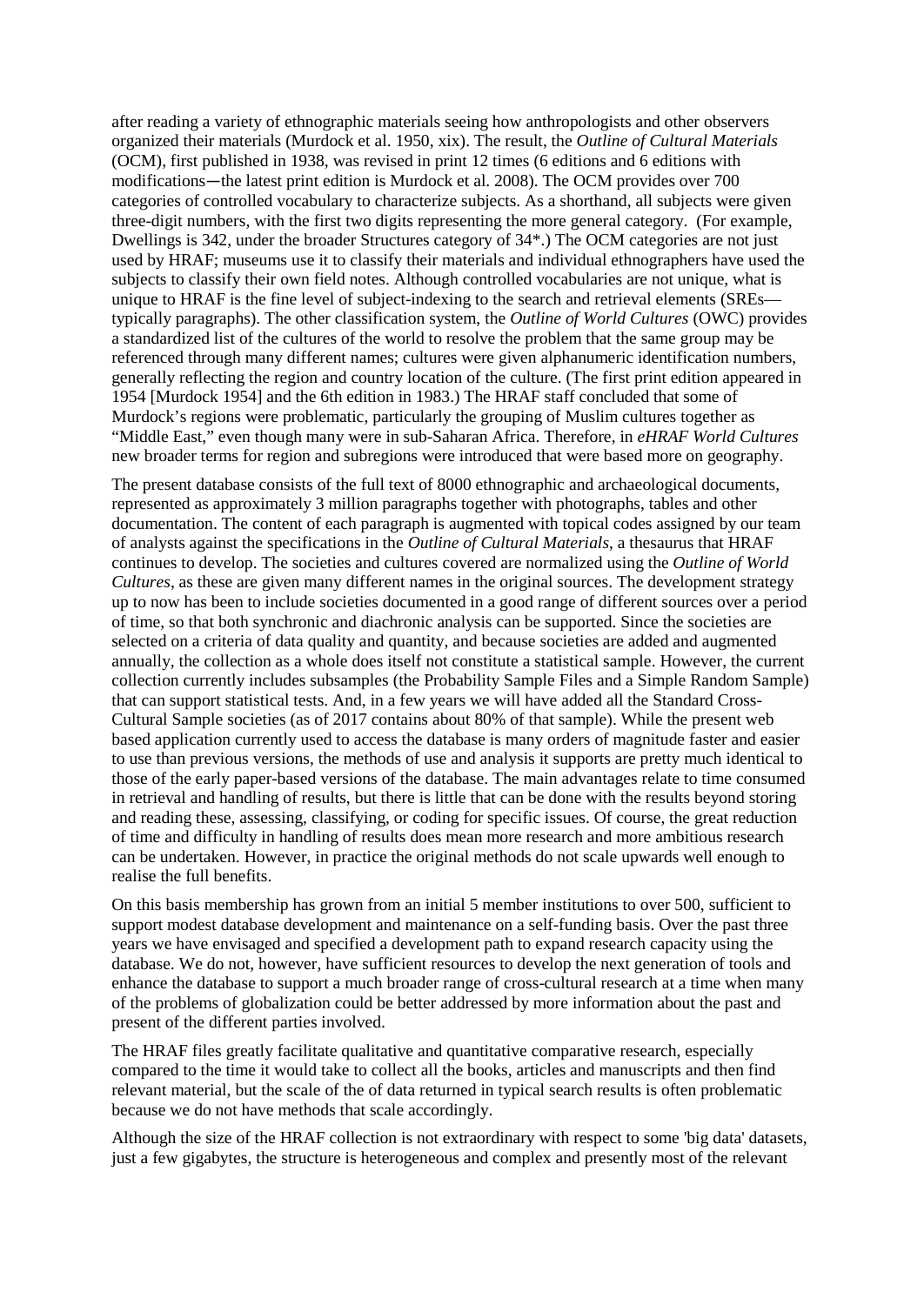after reading a variety of ethnographic materials seeing how anthropologists and other observers organized their materials (Murdock et al. 1950, xix). The result, the *Outline of Cultural Materials* (OCM), first published in 1938, was revised in print 12 times (6 editions and 6 editions with modifications—the latest print edition is Murdock et al. 2008). The OCM provides over 700 categories of controlled vocabulary to characterize subjects. As a shorthand, all subjects were given three-digit numbers, with the first two digits representing the more general category. (For example, Dwellings is 342, under the broader Structures category of 34\*.) The OCM categories are not just used by HRAF; museums use it to classify their materials and individual ethnographers have used the subjects to classify their own field notes. Although controlled vocabularies are not unique, what is unique to HRAF is the fine level of subject-indexing to the search and retrieval elements (SREs typically paragraphs). The other classification system, the *Outline of World Cultures* (OWC) provides a standardized list of the cultures of the world to resolve the problem that the same group may be referenced through many different names; cultures were given alphanumeric identification numbers, generally reflecting the region and country location of the culture. (The first print edition appeared in 1954 [Murdock 1954] and the 6th edition in 1983.) The HRAF staff concluded that some of Murdock's regions were problematic, particularly the grouping of Muslim cultures together as "Middle East," even though many were in sub-Saharan Africa. Therefore, in *eHRAF World Cultures* new broader terms for region and subregions were introduced that were based more on geography.

The present database consists of the full text of 8000 ethnographic and archaeological documents, represented as approximately 3 million paragraphs together with photographs, tables and other documentation. The content of each paragraph is augmented with topical codes assigned by our team of analysts against the specifications in the *Outline of Cultural Materials*, a thesaurus that HRAF continues to develop. The societies and cultures covered are normalized using the *Outline of World Cultures*, as these are given many different names in the original sources. The development strategy up to now has been to include societies documented in a good range of different sources over a period of time, so that both synchronic and diachronic analysis can be supported. Since the societies are selected on a criteria of data quality and quantity, and because societies are added and augmented annually, the collection as a whole does itself not constitute a statistical sample. However, the current collection currently includes subsamples (the Probability Sample Files and a Simple Random Sample) that can support statistical tests. And, in a few years we will have added all the Standard Cross-Cultural Sample societies (as of 2017 contains about 80% of that sample). While the present web based application currently used to access the database is many orders of magnitude faster and easier to use than previous versions, the methods of use and analysis it supports are pretty much identical to those of the early paper-based versions of the database. The main advantages relate to time consumed in retrieval and handling of results, but there is little that can be done with the results beyond storing and reading these, assessing, classifying, or coding for specific issues. Of course, the great reduction of time and difficulty in handling of results does mean more research and more ambitious research can be undertaken. However, in practice the original methods do not scale upwards well enough to realise the full benefits.

On this basis membership has grown from an initial 5 member institutions to over 500, sufficient to support modest database development and maintenance on a self-funding basis. Over the past three years we have envisaged and specified a development path to expand research capacity using the database. We do not, however, have sufficient resources to develop the next generation of tools and enhance the database to support a much broader range of cross-cultural research at a time when many of the problems of globalization could be better addressed by more information about the past and present of the different parties involved.

The HRAF files greatly facilitate qualitative and quantitative comparative research, especially compared to the time it would take to collect all the books, articles and manuscripts and then find relevant material, but the scale of the of data returned in typical search results is often problematic because we do not have methods that scale accordingly.

Although the size of the HRAF collection is not extraordinary with respect to some 'big data' datasets, just a few gigabytes, the structure is heterogeneous and complex and presently most of the relevant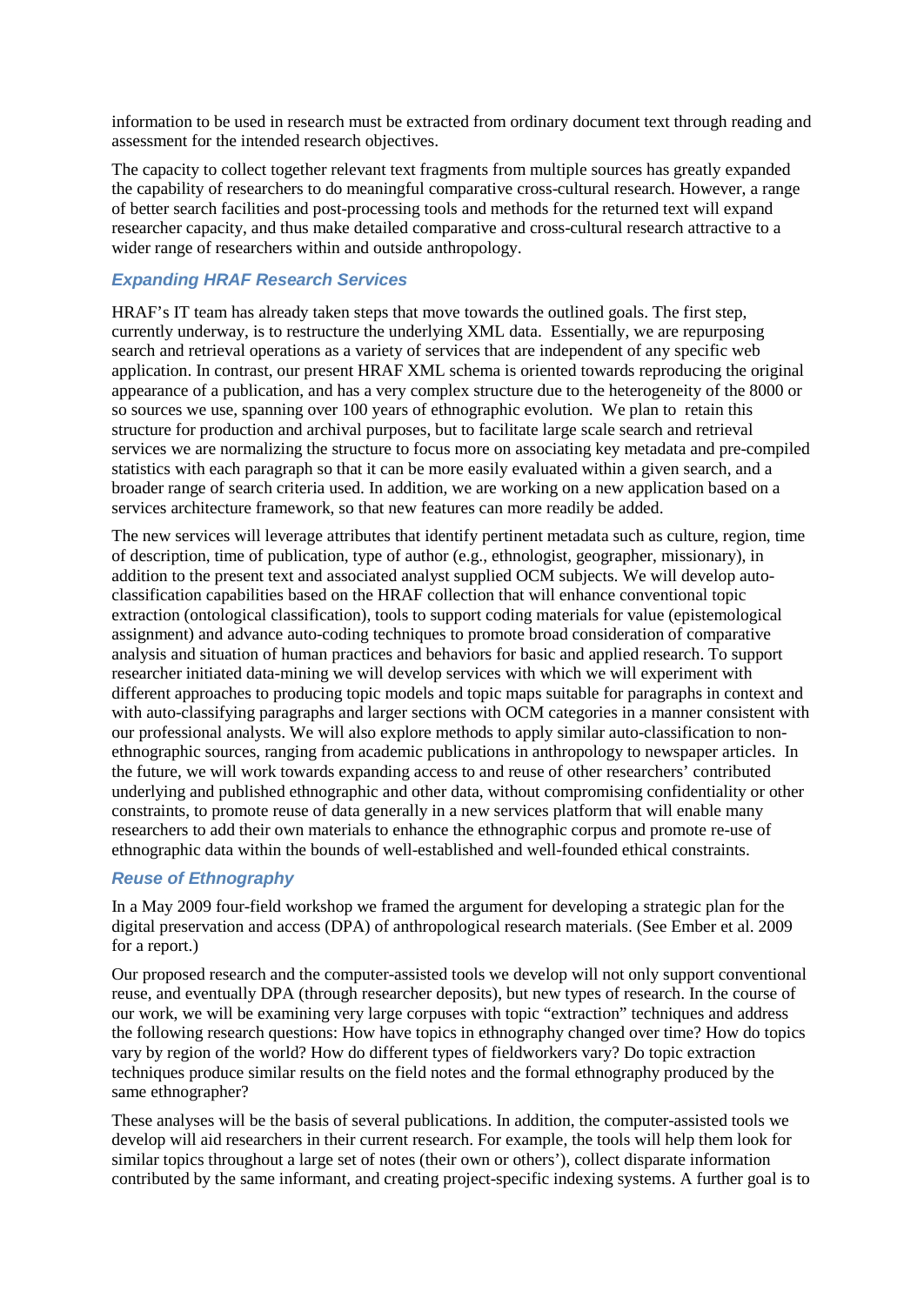information to be used in research must be extracted from ordinary document text through reading and assessment for the intended research objectives.

The capacity to collect together relevant text fragments from multiple sources has greatly expanded the capability of researchers to do meaningful comparative cross-cultural research. However, a range of better search facilities and post-processing tools and methods for the returned text will expand researcher capacity, and thus make detailed comparative and cross-cultural research attractive to a wider range of researchers within and outside anthropology.

# *Expanding HRAF Research Services*

HRAF's IT team has already taken steps that move towards the outlined goals. The first step, currently underway, is to restructure the underlying XML data. Essentially, we are repurposing search and retrieval operations as a variety of services that are independent of any specific web application. In contrast, our present HRAF XML schema is oriented towards reproducing the original appearance of a publication, and has a very complex structure due to the heterogeneity of the 8000 or so sources we use, spanning over 100 years of ethnographic evolution. We plan to retain this structure for production and archival purposes, but to facilitate large scale search and retrieval services we are normalizing the structure to focus more on associating key metadata and pre-compiled statistics with each paragraph so that it can be more easily evaluated within a given search, and a broader range of search criteria used. In addition, we are working on a new application based on a services architecture framework, so that new features can more readily be added.

The new services will leverage attributes that identify pertinent metadata such as culture, region, time of description, time of publication, type of author (e.g., ethnologist, geographer, missionary), in addition to the present text and associated analyst supplied OCM subjects. We will develop autoclassification capabilities based on the HRAF collection that will enhance conventional topic extraction (ontological classification), tools to support coding materials for value (epistemological assignment) and advance auto-coding techniques to promote broad consideration of comparative analysis and situation of human practices and behaviors for basic and applied research. To support researcher initiated data-mining we will develop services with which we will experiment with different approaches to producing topic models and topic maps suitable for paragraphs in context and with auto-classifying paragraphs and larger sections with OCM categories in a manner consistent with our professional analysts. We will also explore methods to apply similar auto-classification to nonethnographic sources, ranging from academic publications in anthropology to newspaper articles. In the future, we will work towards expanding access to and reuse of other researchers' contributed underlying and published ethnographic and other data, without compromising confidentiality or other constraints, to promote reuse of data generally in a new services platform that will enable many researchers to add their own materials to enhance the ethnographic corpus and promote re-use of ethnographic data within the bounds of well-established and well-founded ethical constraints.

#### *Reuse of Ethnography*

In a May 2009 four-field workshop we framed the argument for developing a strategic plan for the digital preservation and access (DPA) of anthropological research materials. (See Ember et al. 2009 for a report.)

Our proposed research and the computer-assisted tools we develop will not only support conventional reuse, and eventually DPA (through researcher deposits), but new types of research. In the course of our work, we will be examining very large corpuses with topic "extraction" techniques and address the following research questions: How have topics in ethnography changed over time? How do topics vary by region of the world? How do different types of fieldworkers vary? Do topic extraction techniques produce similar results on the field notes and the formal ethnography produced by the same ethnographer?

These analyses will be the basis of several publications. In addition, the computer-assisted tools we develop will aid researchers in their current research. For example, the tools will help them look for similar topics throughout a large set of notes (their own or others'), collect disparate information contributed by the same informant, and creating project-specific indexing systems. A further goal is to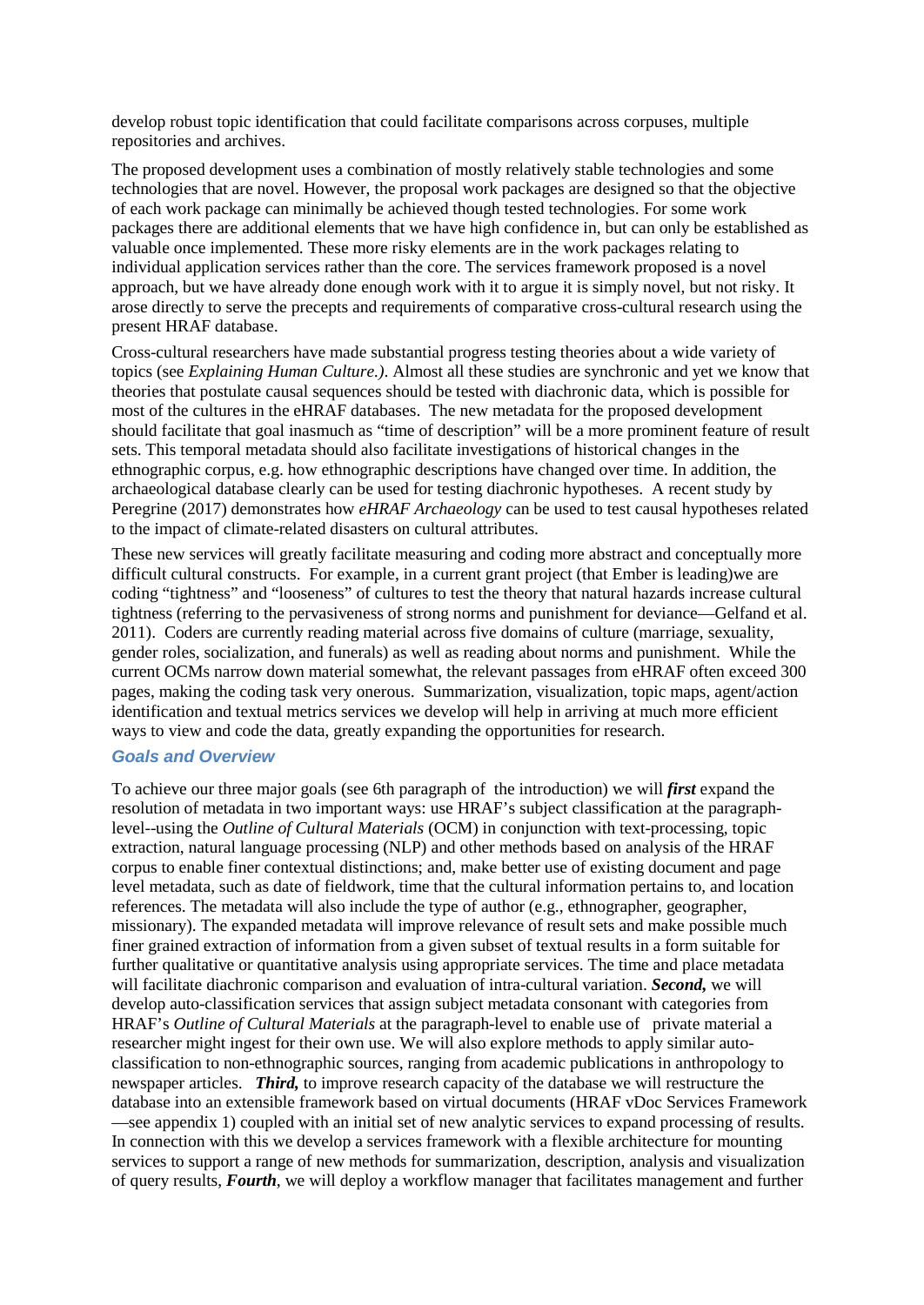develop robust topic identification that could facilitate comparisons across corpuses, multiple repositories and archives.

The proposed development uses a combination of mostly relatively stable technologies and some technologies that are novel. However, the proposal work packages are designed so that the objective of each work package can minimally be achieved though tested technologies. For some work packages there are additional elements that we have high confidence in, but can only be established as valuable once implemented. These more risky elements are in the work packages relating to individual application services rather than the core. The services framework proposed is a novel approach, but we have already done enough work with it to argue it is simply novel, but not risky. It arose directly to serve the precepts and requirements of comparative cross-cultural research using the present HRAF database.

Cross-cultural researchers have made substantial progress testing theories about a wide variety of topics (see *Explaining Human Culture.)*. Almost all these studies are synchronic and yet we know that theories that postulate causal sequences should be tested with diachronic data, which is possible for most of the cultures in the eHRAF databases. The new metadata for the proposed development should facilitate that goal inasmuch as "time of description" will be a more prominent feature of result sets. This temporal metadata should also facilitate investigations of historical changes in the ethnographic corpus, e.g. how ethnographic descriptions have changed over time. In addition, the archaeological database clearly can be used for testing diachronic hypotheses. A recent study by Peregrine (2017) demonstrates how *eHRAF Archaeology* can be used to test causal hypotheses related to the impact of climate-related disasters on cultural attributes.

These new services will greatly facilitate measuring and coding more abstract and conceptually more difficult cultural constructs. For example, in a current grant project (that Ember is leading)we are coding "tightness" and "looseness" of cultures to test the theory that natural hazards increase cultural tightness (referring to the pervasiveness of strong norms and punishment for deviance—Gelfand et al. 2011). Coders are currently reading material across five domains of culture (marriage, sexuality, gender roles, socialization, and funerals) as well as reading about norms and punishment. While the current OCMs narrow down material somewhat, the relevant passages from eHRAF often exceed 300 pages, making the coding task very onerous. Summarization, visualization, topic maps, agent/action identification and textual metrics services we develop will help in arriving at much more efficient ways to view and code the data, greatly expanding the opportunities for research.

# *Goals and Overview*

To achieve our three major goals (see 6th paragraph of the introduction) we will *first* expand the resolution of metadata in two important ways: use HRAF's subject classification at the paragraphlevel--using the *Outline of Cultural Materials* (OCM) in conjunction with text-processing, topic extraction, natural language processing (NLP) and other methods based on analysis of the HRAF corpus to enable finer contextual distinctions; and, make better use of existing document and page level metadata, such as date of fieldwork, time that the cultural information pertains to, and location references. The metadata will also include the type of author (e.g., ethnographer, geographer, missionary). The expanded metadata will improve relevance of result sets and make possible much finer grained extraction of information from a given subset of textual results in a form suitable for further qualitative or quantitative analysis using appropriate services. The time and place metadata will facilitate diachronic comparison and evaluation of intra-cultural variation. *Second,* we will develop auto-classification services that assign subject metadata consonant with categories from HRAF's *Outline of Cultural Materials* at the paragraph-level to enable use of private material a researcher might ingest for their own use. We will also explore methods to apply similar autoclassification to non-ethnographic sources, ranging from academic publications in anthropology to newspaper articles. *Third,* to improve research capacity of the database we will restructure the database into an extensible framework based on virtual documents (HRAF vDoc Services Framework —see appendix 1) coupled with an initial set of new analytic services to expand processing of results. In connection with this we develop a services framework with a flexible architecture for mounting services to support a range of new methods for summarization, description, analysis and visualization of query results, *Fourth*, we will deploy a workflow manager that facilitates management and further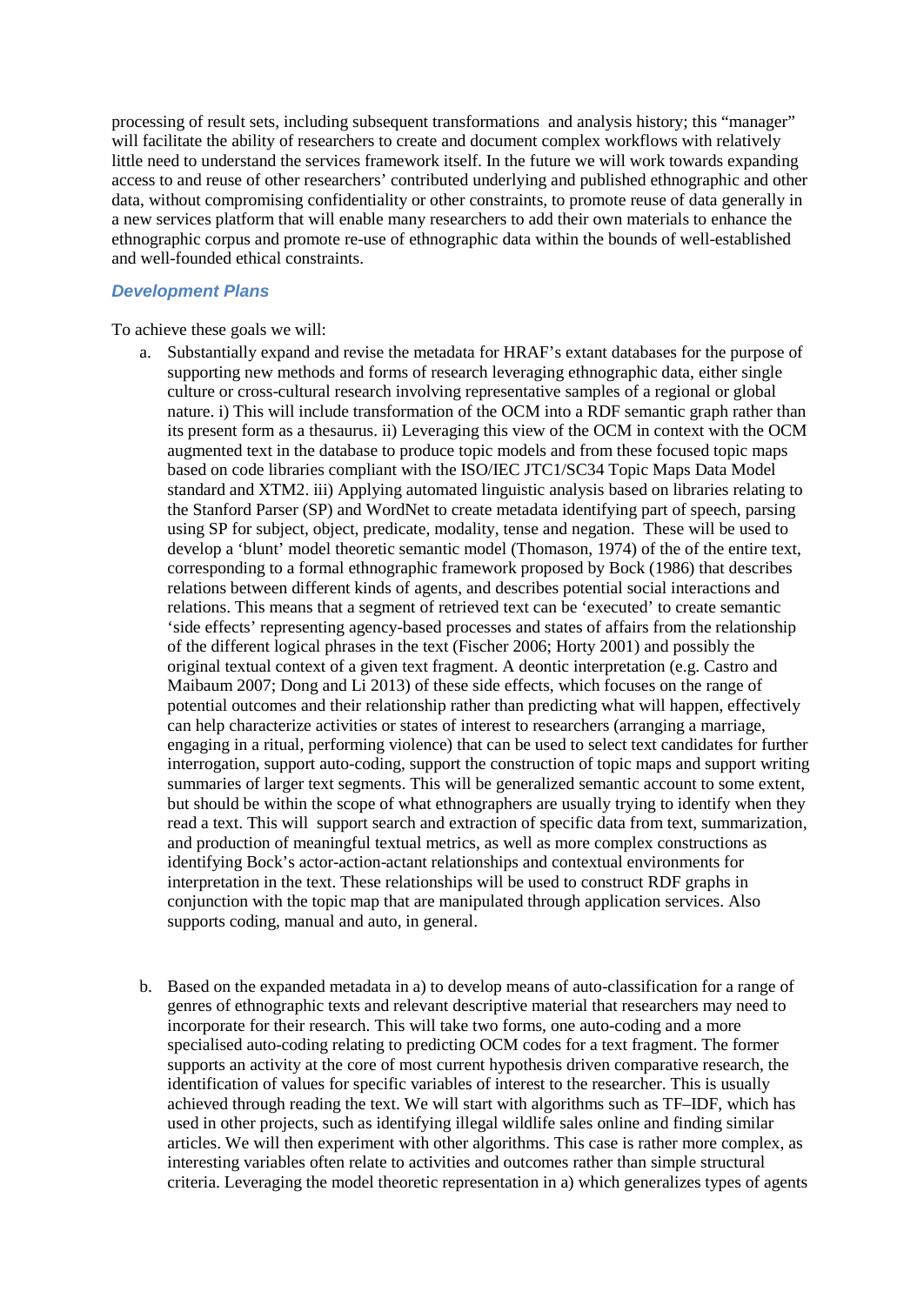processing of result sets, including subsequent transformations and analysis history; this "manager" will facilitate the ability of researchers to create and document complex workflows with relatively little need to understand the services framework itself. In the future we will work towards expanding access to and reuse of other researchers' contributed underlying and published ethnographic and other data, without compromising confidentiality or other constraints, to promote reuse of data generally in a new services platform that will enable many researchers to add their own materials to enhance the ethnographic corpus and promote re-use of ethnographic data within the bounds of well-established and well-founded ethical constraints.

#### *Development Plans*

To achieve these goals we will:

- a. Substantially expand and revise the metadata for HRAF's extant databases for the purpose of supporting new methods and forms of research leveraging ethnographic data, either single culture or cross-cultural research involving representative samples of a regional or global nature. i) This will include transformation of the OCM into a RDF semantic graph rather than its present form as a thesaurus. ii) Leveraging this view of the OCM in context with the OCM augmented text in the database to produce topic models and from these focused topic maps based on code libraries compliant with the ISO/IEC JTC1/SC34 Topic Maps Data Model standard and XTM2. iii) Applying automated linguistic analysis based on libraries relating to the Stanford Parser (SP) and WordNet to create metadata identifying part of speech, parsing using SP for subject, object, predicate, modality, tense and negation. These will be used to develop a 'blunt' model theoretic semantic model (Thomason, 1974) of the of the entire text, corresponding to a formal ethnographic framework proposed by Bock (1986) that describes relations between different kinds of agents, and describes potential social interactions and relations. This means that a segment of retrieved text can be 'executed' to create semantic 'side effects' representing agency-based processes and states of affairs from the relationship of the different logical phrases in the text (Fischer 2006; Horty 2001) and possibly the original textual context of a given text fragment. A deontic interpretation (e.g. Castro and Maibaum 2007; Dong and Li 2013) of these side effects, which focuses on the range of potential outcomes and their relationship rather than predicting what will happen, effectively can help characterize activities or states of interest to researchers (arranging a marriage, engaging in a ritual, performing violence) that can be used to select text candidates for further interrogation, support auto-coding, support the construction of topic maps and support writing summaries of larger text segments. This will be generalized semantic account to some extent, but should be within the scope of what ethnographers are usually trying to identify when they read a text. This will support search and extraction of specific data from text, summarization, and production of meaningful textual metrics, as well as more complex constructions as identifying Bock's actor-action-actant relationships and contextual environments for interpretation in the text. These relationships will be used to construct RDF graphs in conjunction with the topic map that are manipulated through application services. Also supports coding, manual and auto, in general.
- b. Based on the expanded metadata in a) to develop means of auto-classification for a range of genres of ethnographic texts and relevant descriptive material that researchers may need to incorporate for their research. This will take two forms, one auto-coding and a more specialised auto-coding relating to predicting OCM codes for a text fragment. The former supports an activity at the core of most current hypothesis driven comparative research, the identification of values for specific variables of interest to the researcher. This is usually achieved through reading the text. We will start with algorithms such as TF–IDF, which has used in other projects, such as identifying illegal wildlife sales online and finding similar articles. We will then experiment with other algorithms. This case is rather more complex, as interesting variables often relate to activities and outcomes rather than simple structural criteria. Leveraging the model theoretic representation in a) which generalizes types of agents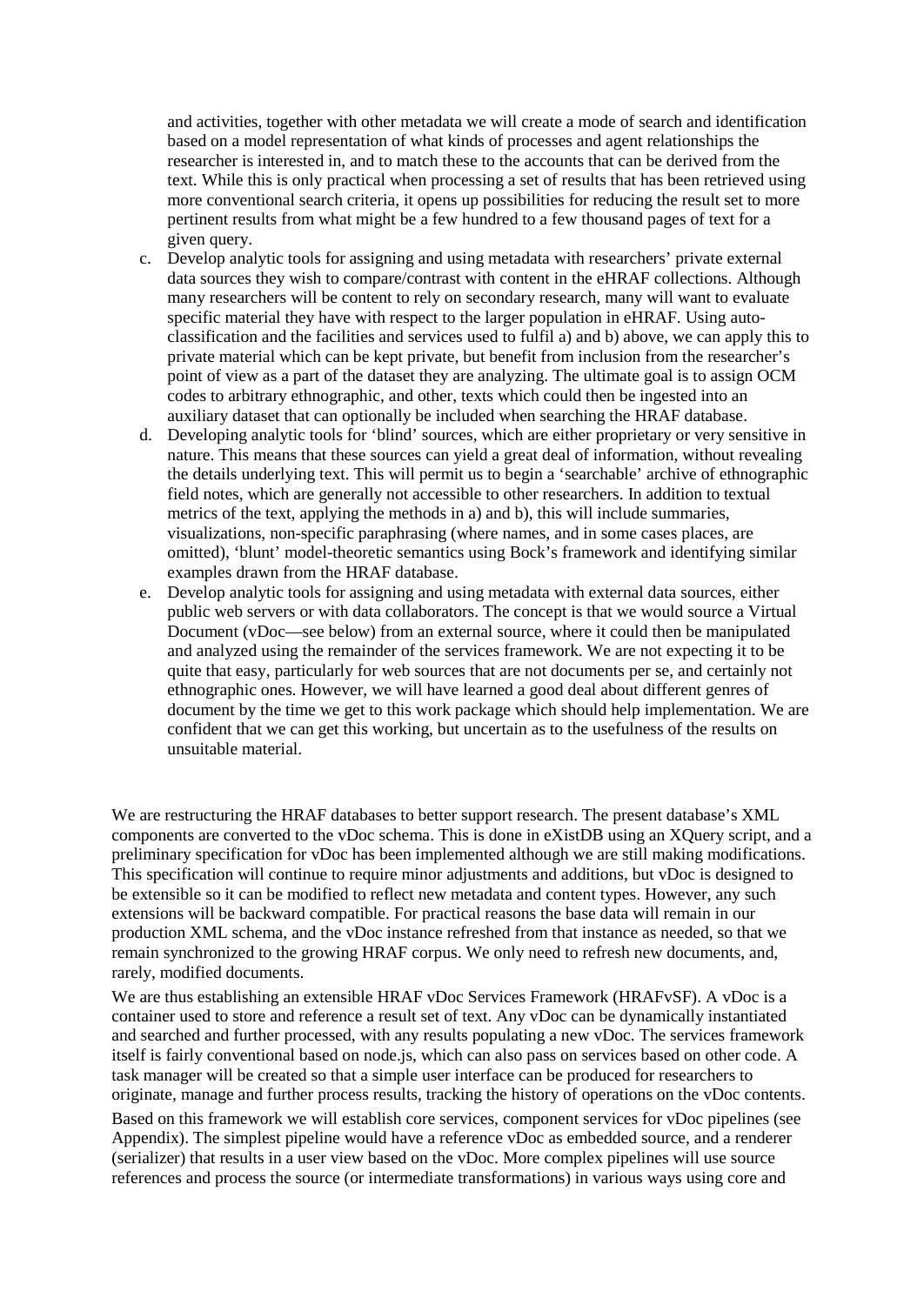and activities, together with other metadata we will create a mode of search and identification based on a model representation of what kinds of processes and agent relationships the researcher is interested in, and to match these to the accounts that can be derived from the text. While this is only practical when processing a set of results that has been retrieved using more conventional search criteria, it opens up possibilities for reducing the result set to more pertinent results from what might be a few hundred to a few thousand pages of text for a given query.

- c. Develop analytic tools for assigning and using metadata with researchers' private external data sources they wish to compare/contrast with content in the eHRAF collections. Although many researchers will be content to rely on secondary research, many will want to evaluate specific material they have with respect to the larger population in eHRAF. Using autoclassification and the facilities and services used to fulfil a) and b) above, we can apply this to private material which can be kept private, but benefit from inclusion from the researcher's point of view as a part of the dataset they are analyzing. The ultimate goal is to assign OCM codes to arbitrary ethnographic, and other, texts which could then be ingested into an auxiliary dataset that can optionally be included when searching the HRAF database.
- d. Developing analytic tools for 'blind' sources, which are either proprietary or very sensitive in nature. This means that these sources can yield a great deal of information, without revealing the details underlying text. This will permit us to begin a 'searchable' archive of ethnographic field notes, which are generally not accessible to other researchers. In addition to textual metrics of the text, applying the methods in a) and b), this will include summaries, visualizations, non-specific paraphrasing (where names, and in some cases places, are omitted), 'blunt' model-theoretic semantics using Bock's framework and identifying similar examples drawn from the HRAF database.
- e. Develop analytic tools for assigning and using metadata with external data sources, either public web servers or with data collaborators. The concept is that we would source a Virtual Document (vDoc—see below) from an external source, where it could then be manipulated and analyzed using the remainder of the services framework. We are not expecting it to be quite that easy, particularly for web sources that are not documents per se, and certainly not ethnographic ones. However, we will have learned a good deal about different genres of document by the time we get to this work package which should help implementation. We are confident that we can get this working, but uncertain as to the usefulness of the results on unsuitable material.

We are restructuring the HRAF databases to better support research. The present database's XML components are converted to the vDoc schema. This is done in eXistDB using an XQuery script, and a preliminary specification for vDoc has been implemented although we are still making modifications. This specification will continue to require minor adjustments and additions, but vDoc is designed to be extensible so it can be modified to reflect new metadata and content types. However, any such extensions will be backward compatible. For practical reasons the base data will remain in our production XML schema, and the vDoc instance refreshed from that instance as needed, so that we remain synchronized to the growing HRAF corpus. We only need to refresh new documents, and, rarely, modified documents.

We are thus establishing an extensible HRAF vDoc Services Framework (HRAFvSF). A vDoc is a container used to store and reference a result set of text. Any vDoc can be dynamically instantiated and searched and further processed, with any results populating a new vDoc. The services framework itself is fairly conventional based on node.js, which can also pass on services based on other code. A task manager will be created so that a simple user interface can be produced for researchers to originate, manage and further process results, tracking the history of operations on the vDoc contents.

Based on this framework we will establish core services, component services for vDoc pipelines (see Appendix). The simplest pipeline would have a reference vDoc as embedded source, and a renderer (serializer) that results in a user view based on the vDoc. More complex pipelines will use source references and process the source (or intermediate transformations) in various ways using core and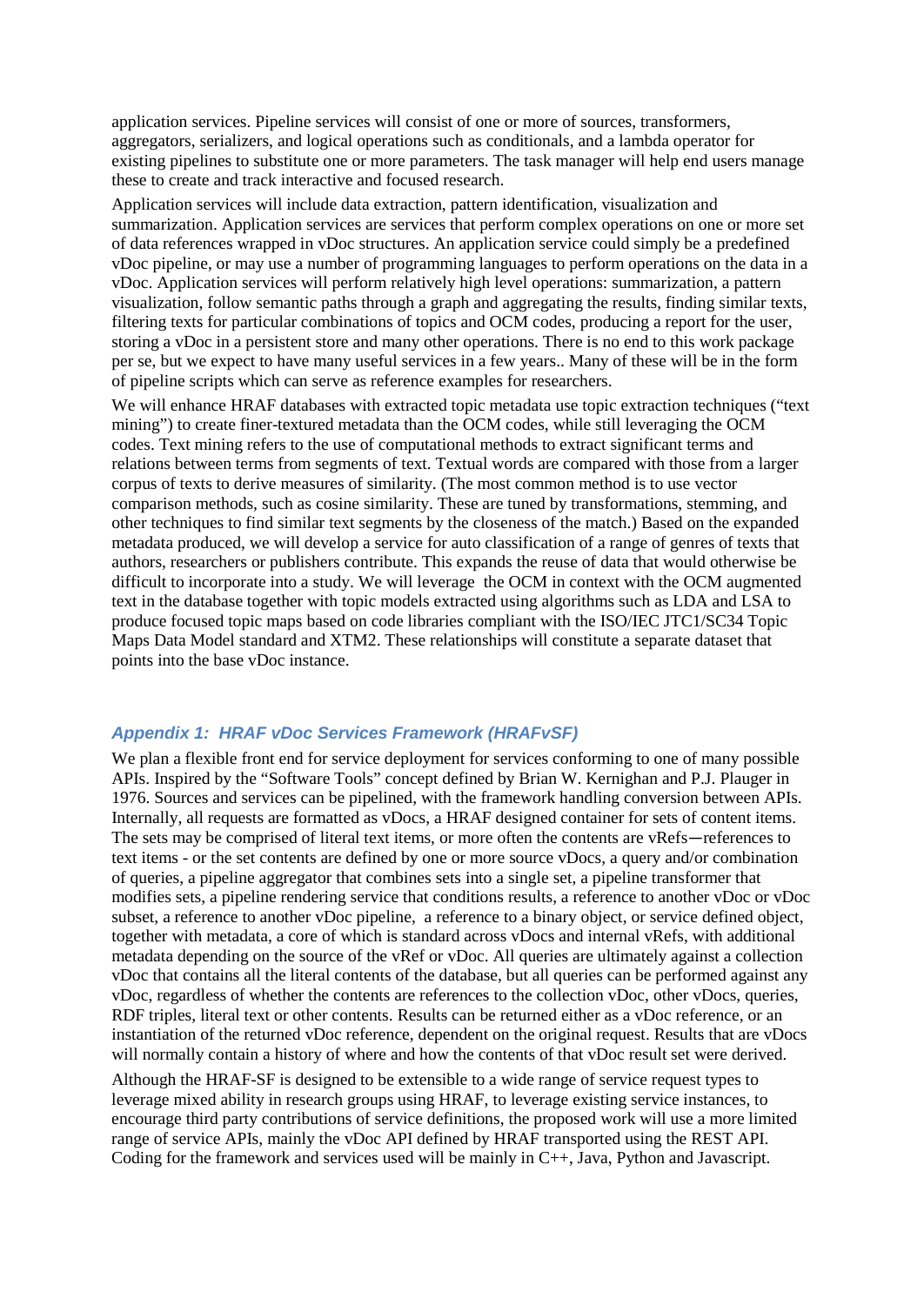application services. Pipeline services will consist of one or more of sources, transformers, aggregators, serializers, and logical operations such as conditionals, and a lambda operator for existing pipelines to substitute one or more parameters. The task manager will help end users manage these to create and track interactive and focused research.

Application services will include data extraction, pattern identification, visualization and summarization. Application services are services that perform complex operations on one or more set of data references wrapped in vDoc structures. An application service could simply be a predefined vDoc pipeline, or may use a number of programming languages to perform operations on the data in a vDoc. Application services will perform relatively high level operations: summarization, a pattern visualization, follow semantic paths through a graph and aggregating the results, finding similar texts, filtering texts for particular combinations of topics and OCM codes, producing a report for the user, storing a vDoc in a persistent store and many other operations. There is no end to this work package per se, but we expect to have many useful services in a few years.. Many of these will be in the form of pipeline scripts which can serve as reference examples for researchers.

We will enhance HRAF databases with extracted topic metadata use topic extraction techniques ("text") mining") to create finer-textured metadata than the OCM codes, while still leveraging the OCM codes. Text mining refers to the use of computational methods to extract significant terms and relations between terms from segments of text. Textual words are compared with those from a larger corpus of texts to derive measures of similarity. (The most common method is to use vector comparison methods, such as cosine similarity. These are tuned by transformations, stemming, and other techniques to find similar text segments by the closeness of the match.) Based on the expanded metadata produced, we will develop a service for auto classification of a range of genres of texts that authors, researchers or publishers contribute. This expands the reuse of data that would otherwise be difficult to incorporate into a study. We will leverage the OCM in context with the OCM augmented text in the database together with topic models extracted using algorithms such as LDA and LSA to produce focused topic maps based on code libraries compliant with the ISO/IEC JTC1/SC34 Topic Maps Data Model standard and XTM2. These relationships will constitute a separate dataset that points into the base vDoc instance.

#### *Appendix 1: HRAF vDoc Services Framework (HRAFvSF)*

We plan a flexible front end for service deployment for services conforming to one of many possible APIs. Inspired by the "Software Tools" concept defined by Brian W. Kernighan and P.J. Plauger in 1976. Sources and services can be pipelined, with the framework handling conversion between APIs. Internally, all requests are formatted as vDocs, a HRAF designed container for sets of content items. The sets may be comprised of literal text items, or more often the contents are vRefs—references to text items - or the set contents are defined by one or more source vDocs, a query and/or combination of queries, a pipeline aggregator that combines sets into a single set, a pipeline transformer that modifies sets, a pipeline rendering service that conditions results, a reference to another vDoc or vDoc subset, a reference to another vDoc pipeline, a reference to a binary object, or service defined object, together with metadata, a core of which is standard across vDocs and internal vRefs, with additional metadata depending on the source of the vRef or vDoc. All queries are ultimately against a collection vDoc that contains all the literal contents of the database, but all queries can be performed against any vDoc, regardless of whether the contents are references to the collection vDoc, other vDocs, queries, RDF triples, literal text or other contents. Results can be returned either as a vDoc reference, or an instantiation of the returned vDoc reference, dependent on the original request. Results that are vDocs will normally contain a history of where and how the contents of that vDoc result set were derived.

Although the HRAF-SF is designed to be extensible to a wide range of service request types to leverage mixed ability in research groups using HRAF, to leverage existing service instances, to encourage third party contributions of service definitions, the proposed work will use a more limited range of service APIs, mainly the vDoc API defined by HRAF transported using the REST API. Coding for the framework and services used will be mainly in C++, Java, Python and Javascript.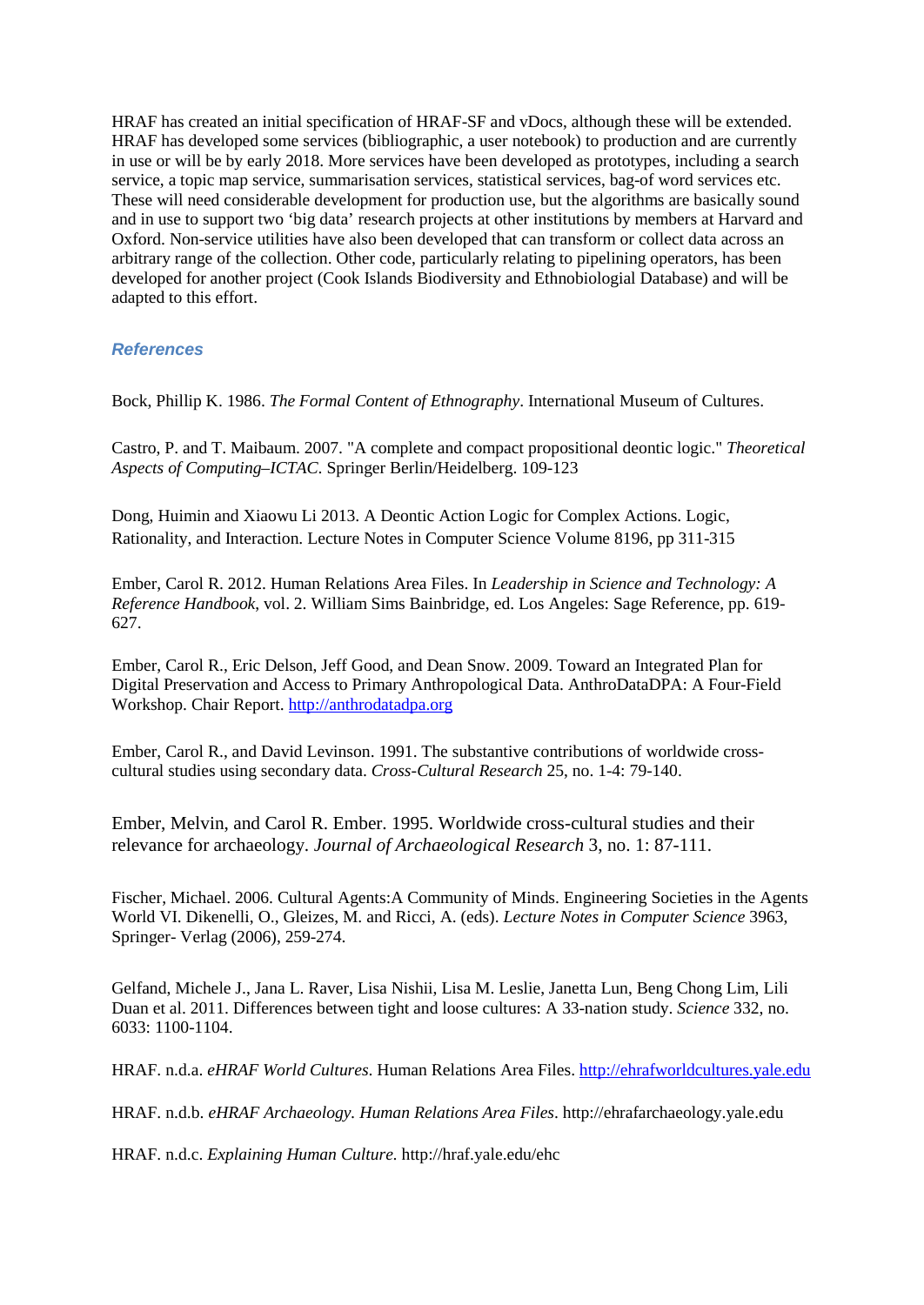HRAF has created an initial specification of HRAF-SF and vDocs, although these will be extended. HRAF has developed some services (bibliographic, a user notebook) to production and are currently in use or will be by early 2018. More services have been developed as prototypes, including a search service, a topic map service, summarisation services, statistical services, bag-of word services etc. These will need considerable development for production use, but the algorithms are basically sound and in use to support two 'big data' research projects at other institutions by members at Harvard and Oxford. Non-service utilities have also been developed that can transform or collect data across an arbitrary range of the collection. Other code, particularly relating to pipelining operators, has been developed for another project (Cook Islands Biodiversity and Ethnobiologial Database) and will be adapted to this effort.

#### *References*

Bock, Phillip K. 1986. *The Formal Content of Ethnography*. International Museum of Cultures.

Castro, P. and T. Maibaum. 2007. "A complete and compact propositional deontic logic." *Theoretical Aspects of Computing*–*ICTAC*. Springer Berlin/Heidelberg. 109-123

Dong, Huimin and Xiaowu Li 2013. A Deontic Action Logic for Complex Actions. Logic, Rationality, and Interaction. Lecture Notes in Computer Science Volume 8196, pp 311-315

Ember, Carol R. 2012. Human Relations Area Files. In *Leadership in Science and Technology: A Reference Handbook*, vol. 2. William Sims Bainbridge, ed. Los Angeles: Sage Reference, pp. 619- 627.

Ember, Carol R., Eric Delson, Jeff Good, and Dean Snow. 2009. Toward an Integrated Plan for Digital Preservation and Access to Primary Anthropological Data. AnthroDataDPA: A Four-Field Workshop. Chair Report[.](http://anthrodatadpa.org/) [http://anthrodatadpa.org](http://anthrodatadpa.org/)

Ember, Carol R., and David Levinson. 1991. The substantive contributions of worldwide crosscultural studies using secondary data. *Cross-Cultural Research* 25, no. 1-4: 79-140.

Ember, Melvin, and Carol R. Ember. 1995. Worldwide cross-cultural studies and their relevance for archaeology. *Journal of Archaeological Research* 3, no. 1: 87-111.

Fischer, Michael. 2006. Cultural Agents:A Community of Minds. Engineering Societies in the Agents World VI. Dikenelli, O., Gleizes, M. and Ricci, A. (eds). *Lecture Notes in Computer Science* 3963, Springer- Verlag (2006), 259-274.

Gelfand, Michele J., Jana L. Raver, Lisa Nishii, Lisa M. Leslie, Janetta Lun, Beng Chong Lim, Lili Duan et al. 2011. Differences between tight and loose cultures: A 33-nation study. *Science* 332, no. 6033: 1100-1104.

HRAF. n.d.a. *eHRAF World Cultures*. Human Relations Area Files. [http://ehrafworldcultures.yale.edu](http://ehrafworldcultures.yale.edu/)

HRAF. n.d.b. *eHRAF Archaeology. Human Relations Area Files*. http://ehrafarchaeology.yale.edu

HRAF. n.d.c. *Explaining Human Culture.* http://hraf.yale.edu/ehc